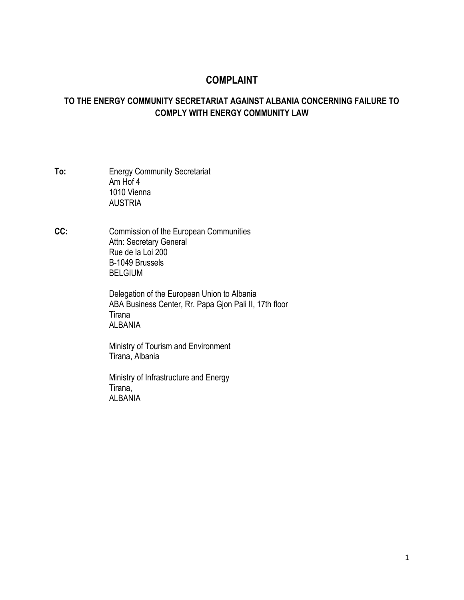# **COMPLAINT**

## **TO THE ENERGY COMMUNITY SECRETARIAT AGAINST ALBANIA CONCERNING FAILURE TO COMPLY WITH ENERGY COMMUNITY LAW**

- **To:** Energy Community Secretariat Am Hof 4 1010 Vienna AUSTRIA
- **CC:** Commission of the European Communities Attn: Secretary General Rue de la Loi 200 B-1049 Brussels BELGIUM

Delegation of the European Union to Albania ABA Business Center, Rr. Papa Gjon Pali II, 17th floor Tirana ALBANIA

Ministry of Tourism and Environment Tirana, Albania

Ministry of Infrastructure and Energy Tirana, **ALBANIA**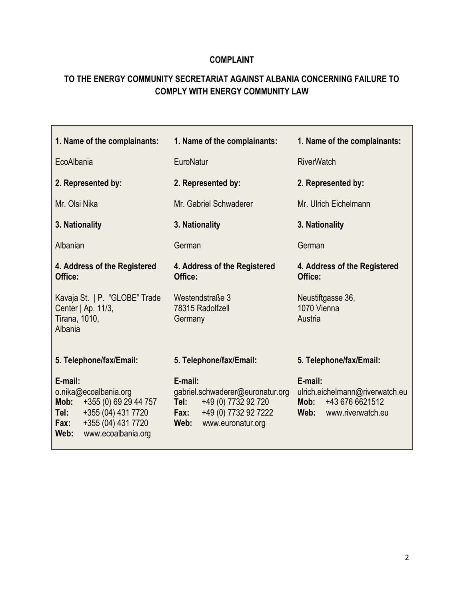## **COMPLAINT**

# **TO THE ENERGY COMMUNITY SECRETARIAT AGAINST ALBANIA CONCERNING FAILURE TO COMPLY WITH ENERGY COMMUNITY LAW**

| 1. Name of the complainants:                                                                                                                                | 1. Name of the complainants:                                                                                                            | 1. Name of the complainants:                                                                       |
|-------------------------------------------------------------------------------------------------------------------------------------------------------------|-----------------------------------------------------------------------------------------------------------------------------------------|----------------------------------------------------------------------------------------------------|
| EcoAlbania                                                                                                                                                  | EuroNatur                                                                                                                               | <b>RiverWatch</b>                                                                                  |
| 2. Represented by:                                                                                                                                          | 2. Represented by:                                                                                                                      | 2. Represented by:                                                                                 |
| Mr. Olsi Nika                                                                                                                                               | Mr. Gabriel Schwaderer                                                                                                                  | Mr. Ulrich Eichelmann                                                                              |
| 3. Nationality                                                                                                                                              | 3. Nationality                                                                                                                          | 3. Nationality                                                                                     |
| Albanian                                                                                                                                                    | German                                                                                                                                  | German                                                                                             |
| 4. Address of the Registered<br>Office:                                                                                                                     | 4. Address of the Registered<br>Office:                                                                                                 | 4. Address of the Registered<br>Office:                                                            |
| Kavaja St.   P. "GLOBE" Trade<br>Center   Ap. 11/3,<br>Tirana, 1010,<br>Albania                                                                             | Westendstraße 3<br>78315 Radolfzell<br>Germany                                                                                          | Neustiftgasse 36,<br>1070 Vienna<br>Austria                                                        |
| 5. Telephone/fax/Email:                                                                                                                                     | 5. Telephone/fax/Email:                                                                                                                 | 5. Telephone/fax/Email:                                                                            |
| E-mail:<br>o.nika@ecoalbania.org<br>+355 (0) 69 29 44 757<br>Mob:<br>+355 (04) 431 7720<br>Tel:<br>+355 (04) 431 7720<br>Fax:<br>www.ecoalbania.org<br>Web: | E-mail:<br>gabriel.schwaderer@euronatur.org<br>+49 (0) 7732 92 720<br>Tel:<br>+49 (0) 7732 92 7222<br>Fax:<br>www.euronatur.org<br>Web: | E-mail:<br>ulrich.eichelmann@riverwatch.eu<br>+43 676 6621512<br>Mob:<br>Web:<br>www.riverwatch.eu |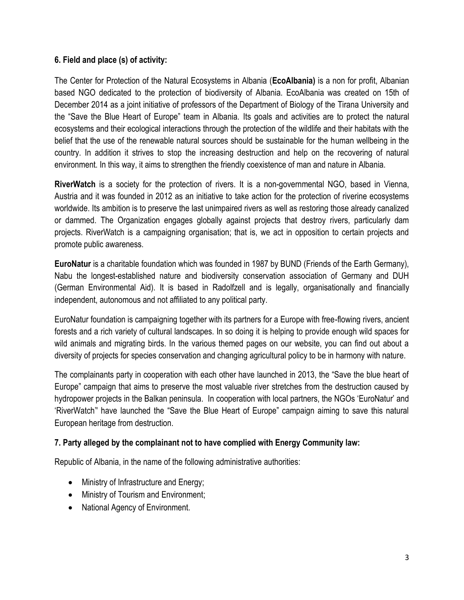### **6. Field and place (s) of activity:**

The Center for Protection of the Natural Ecosystems in Albania (**EcoAlbania)** is a non for profit, Albanian based NGO dedicated to the protection of biodiversity of Albania. EcoAlbania was created on 15th of December 2014 as a joint initiative of professors of the Department of Biology of the Tirana University and the "Save the Blue Heart of Europe" team in Albania. Its goals and activities are to protect the natural ecosystems and their ecological interactions through the protection of the wildlife and their habitats with the belief that the use of the renewable natural sources should be sustainable for the human wellbeing in the country. In addition it strives to stop the increasing destruction and help on the recovering of natural environment. In this way, it aims to strengthen the friendly coexistence of man and nature in Albania.

**RiverWatch** is a society for the protection of rivers. It is a non-governmental NGO, based in Vienna, Austria and it was founded in 2012 as an initiative to take action for the protection of riverine ecosystems worldwide. Its ambition is to preserve the last unimpaired rivers as well as restoring those already canalized or dammed. The Organization engages globally against projects that destroy rivers, particularly dam projects. RiverWatch is a campaigning organisation; that is, we act in opposition to certain projects and promote public awareness.

**EuroNatur** is a charitable foundation which was founded in 1987 by BUND (Friends of the Earth Germany), Nabu the longest-established nature and biodiversity conservation association of Germany and DUH (German Environmental Aid). It is based in Radolfzell and is legally, organisationally and financially independent, autonomous and not affiliated to any political party.

EuroNatur foundation is campaigning together with its partners for a Europe with free-flowing rivers, ancient forests and a rich variety of cultural landscapes. In so doing it is helping to provide enough wild spaces for wild animals and migrating birds. In the various themed pages on our website, you can find out about a diversity of projects for species conservation and changing agricultural policy to be in harmony with nature.

The complainants party in cooperation with each other have launched in 2013, the "Save the blue heart of Europe" campaign that aims to preserve the most valuable river stretches from the destruction caused by hydropower projects in the Balkan peninsula. In cooperation with local partners, the NGOs 'EuroNatur' and 'RiverWatch'' have launched the "Save the Blue Heart of Europe" campaign aiming to save this natural European heritage from destruction.

## **7. Party alleged by the complainant not to have complied with Energy Community law:**

Republic of Albania, in the name of the following administrative authorities:

- Ministry of Infrastructure and Energy;
- Ministry of Tourism and Environment;
- National Agency of Environment.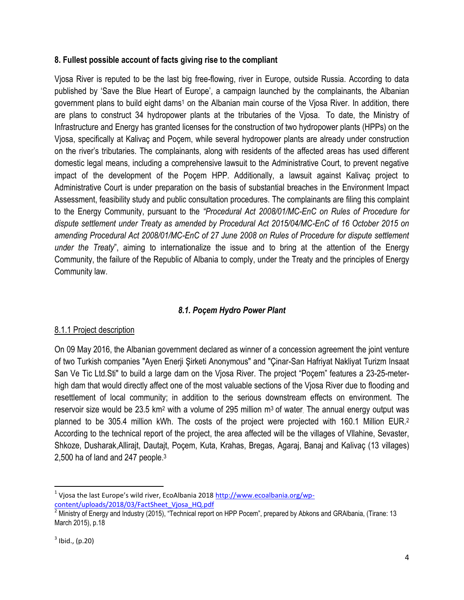#### **8. Fullest possible account of facts giving rise to the compliant**

Vjosa River is reputed to be the last big free-flowing, river in Europe, outside Russia. According to data published by 'Save the Blue Heart of Europe', a campaign launched by the complainants, the Albanian government plans to build eight dams<sup>1</sup> on the Albanian main course of the Vjosa River. In addition, there are plans to construct 34 hydropower plants at the tributaries of the Vjosa. To date, the Ministry of Infrastructure and Energy has granted licenses for the construction of two hydropower plants (HPPs) on the Vjosa, specifically at Kalivaç and Poçem, while several hydropower plants are already under construction on the river's tributaries. The complainants, along with residents of the affected areas has used different domestic legal means, including a comprehensive lawsuit to the Administrative Court, to prevent negative impact of the development of the Poçem HPP. Additionally, a lawsuit against Kalivaç project to Administrative Court is under preparation on the basis of substantial breaches in the Environment Impact Assessment, feasibility study and public consultation procedures. The complainants are filing this complaint to the Energy Community, pursuant to the *"Procedural Act 2008/01/MC-EnC on Rules of Procedure for dispute settlement under Treaty as amended by Procedural Act 2015/04/MC-EnC of 16 October 2015 on amending Procedural Act 2008/01/MC-EnC of 27 June 2008 on Rules of Procedure for dispute settlement under the Treaty*", aiming to internationalize the issue and to bring at the attention of the Energy Community, the failure of the Republic of Albania to comply, under the Treaty and the principles of Energy Community law.

## *8.1. Poçem Hydro Power Plant*

#### 8.1.1 Project description

On 09 May 2016, the Albanian government declared as winner of a concession agreement the joint venture of two Turkish companies "Ayen Enerji Şirketi Anonymous" and "Çinar-San Hafriyat Nakliyat Turizm Insaat San Ve Tic Ltd.Sti" to build a large dam on the Vjosa River. The project "Poçem" features a 23-25-meterhigh dam that would directly affect one of the most valuable sections of the Vjosa River due to flooding and resettlement of local community; in addition to the serious downstream effects on environment. The reservoir size would be 23.5 km<sup>2</sup> with a volume of 295 million  $m<sup>3</sup>$  of water. The annual energy output was planned to be 305.4 million kWh. The costs of the project were projected with 160.1 Million EUR.<sup>2</sup> According to the technical report of the project, the area affected will be the villages of Vllahine, Sevaster, Shkoze, Dusharak,Allirajt, Dautajt, Poçem, Kuta, Krahas, Bregas, Agaraj, Banaj and Kalivaç (13 villages) 2,500 ha of land and 247 people.<sup>3</sup>

<sup>&</sup>lt;sup>1</sup> Vjosa the last Europe's wild river, EcoAlbania 2018 [http://www.ecoalbania.org/wp](http://www.ecoalbania.org/wp-content/uploads/2018/03/FactSheet_Vjosa_HQ.pdf)[content/uploads/2018/03/FactSheet\\_Vjosa\\_HQ.pdf](http://www.ecoalbania.org/wp-content/uploads/2018/03/FactSheet_Vjosa_HQ.pdf)

 $2$  Ministry of Energy and Industry (2015), "Technical report on HPP Pocem", prepared by Abkons and GRAIbania, (Tirane: 13 March 2015), p.18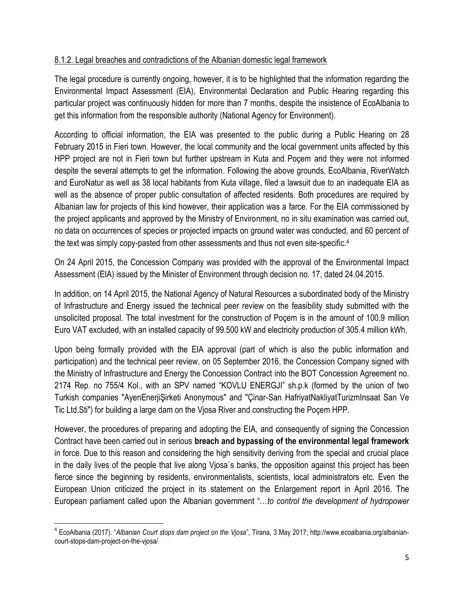## 8.1.2. Legal breaches and contradictions of the Albanian domestic legal framework

The legal procedure is currently ongoing, however, it is to be highlighted that the information regarding the Environmental Impact Assessment (EIA), Environmental Declaration and Public Hearing regarding this particular project was continuously hidden for more than 7 months, despite the insistence of EcoAlbania to get this information from the responsible authority (National Agency for Environment).

According to official information, the EIA was presented to the public during a Public Hearing on 28 February 2015 in Fieri town. However, the local community and the local government units affected by this HPP project are not in Fieri town but further upstream in Kuta and Poçem and they were not informed despite the several attempts to get the information. Following the above grounds, EcoAlbania, RiverWatch and EuroNatur as well as 38 local habitants from Kuta village, filed a lawsuit due to an inadequate EIA as well as the absence of proper public consultation of affected residents. Both procedures are required by Albanian law for projects of this kind however, their application was a farce. For the EIA commissioned by the project applicants and approved by the Ministry of Environment, no in situ examination was carried out, no data on occurrences of species or projected impacts on ground water was conducted, and 60 percent of the text was simply copy-pasted from other assessments and thus not even site-specific.<sup>4</sup>

On 24 April 2015, the Concession Company was provided with the approval of the Environmental Impact Assessment (EIA) issued by the Minister of Environment through decision no. 17, dated 24.04.2015.

In addition, on 14 April 2015, the National Agency of Natural Resources a subordinated body of the Ministry of Infrastructure and Energy issued the technical peer review on the feasibility study submitted with the unsolicited proposal. The total investment for the construction of Poçem is in the amount of 100.9 million Euro VAT excluded, with an installed capacity of 99.500 kW and electricity production of 305.4 million kWh.

Upon being formally provided with the EIA approval (part of which is also the public information and participation) and the technical peer review, on 05 September 2016, the Concession Company signed with the Ministry of Infrastructure and Energy the Concession Contract into the BOT Concession Agreement no. 2174 Rep. no 755/4 Kol., with an SPV named "KOVLU ENERGJI" sh.p.k (formed by the union of two Turkish companies "AyenEnerjiŞirketi Anonymous" and "Çinar-San HafriyatNakliyatTurizmInsaat San Ve Tic Ltd.Sti") for building a large dam on the Vjosa River and constructing the Poçem HPP.

However, the procedures of preparing and adopting the EIA, and consequently of signing the Concession Contract have been carried out in serious **breach and bypassing of the environmental legal framework** in force. Due to this reason and considering the high sensitivity deriving from the special and crucial place in the daily lives of the people that live along Vjosa`s banks, the opposition against this project has been fierce since the beginning by residents, environmentalists, scientists, local administrators etc. Even the European Union criticized the project in its statement on the Enlargement report in April 2016. The European parliament called upon the Albanian government "…*to control the development of hydropower* 

l 4 EcoAlbania (2017). "*Albanian Court stops dam project on the Vjosa*", Tirana, 3 May 2017; http://www.ecoalbania.org/albaniancourt-stops-dam-project-on-the-vjosa/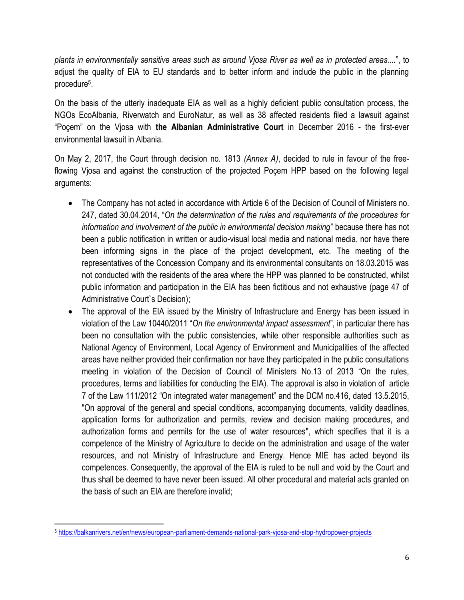*plants in environmentally sensitive areas such as around Vjosa River as well as in protected areas....*", to adjust the quality of EIA to EU standards and to better inform and include the public in the planning procedure<sup>5</sup> .

On the basis of the utterly inadequate EIA as well as a highly deficient public consultation process, the NGOs EcoAlbania, Riverwatch and EuroNatur, as well as 38 affected residents filed a lawsuit against "Poçem" on the Vjosa with **the Albanian Administrative Court** in December 2016 - the first-ever environmental lawsuit in Albania.

On May 2, 2017, the Court through decision no. 1813 *(Annex A)*, decided to rule in favour of the freeflowing Vjosa and against the construction of the projected Poçem HPP based on the following legal arguments:

- The Company has not acted in accordance with Article 6 of the Decision of Council of Ministers no. 247, dated 30.04.2014, "*On the determination of the rules and requirements of the procedures for information and involvement of the public in environmental decision making*" because there has not been a public notification in written or audio-visual local media and national media, nor have there been informing signs in the place of the project development, etc. The meeting of the representatives of the Concession Company and its environmental consultants on 18.03.2015 was not conducted with the residents of the area where the HPP was planned to be constructed, whilst public information and participation in the EIA has been fictitious and not exhaustive (page 47 of Administrative Court`s Decision);
- The approval of the EIA issued by the Ministry of Infrastructure and Energy has been issued in violation of the Law 10440/2011 "*On the environmental impact assessment*", in particular there has been no consultation with the public consistencies, while other responsible authorities such as National Agency of Environment, Local Agency of Environment and Municipalities of the affected areas have neither provided their confirmation nor have they participated in the public consultations meeting in violation of the Decision of Council of Ministers No.13 of 2013 "On the rules, procedures, terms and liabilities for conducting the EIA). The approval is also in violation of article 7 of the Law 111/2012 "On integrated water management" and the DCM no.416, dated 13.5.2015, "On approval of the general and special conditions, accompanying documents, validity deadlines, application forms for authorization and permits, review and decision making procedures, and authorization forms and permits for the use of water resources", which specifies that it is a competence of the Ministry of Agriculture to decide on the administration and usage of the water resources, and not Ministry of Infrastructure and Energy. Hence MIE has acted beyond its competences. Consequently, the approval of the EIA is ruled to be null and void by the Court and thus shall be deemed to have never been issued. All other procedural and material acts granted on the basis of such an EIA are therefore invalid;

<sup>5</sup> <https://balkanrivers.net/en/news/european-parliament-demands-national-park-vjosa-and-stop-hydropower-projects>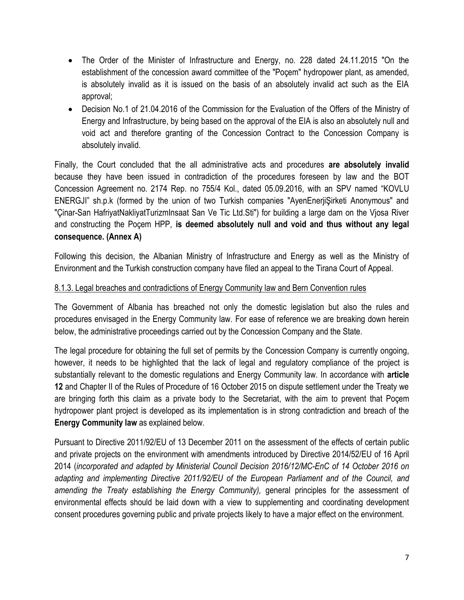- The Order of the Minister of Infrastructure and Energy, no. 228 dated 24.11.2015 "On the establishment of the concession award committee of the "Poçem" hydropower plant, as amended, is absolutely invalid as it is issued on the basis of an absolutely invalid act such as the EIA approval;
- Decision No.1 of 21.04.2016 of the Commission for the Evaluation of the Offers of the Ministry of Energy and Infrastructure, by being based on the approval of the EIA is also an absolutely null and void act and therefore granting of the Concession Contract to the Concession Company is absolutely invalid.

Finally, the Court concluded that the all administrative acts and procedures **are absolutely invalid** because they have been issued in contradiction of the procedures foreseen by law and the BOT Concession Agreement no. 2174 Rep. no 755/4 Kol., dated 05.09.2016, with an SPV named "KOVLU ENERGJI" sh.p.k (formed by the union of two Turkish companies "AyenEnerjiŞirketi Anonymous" and "Çinar-San HafriyatNakliyatTurizmInsaat San Ve Tic Ltd.Sti") for building a large dam on the Vjosa River and constructing the Poçem HPP, **is deemed absolutely null and void and thus without any legal consequence. (Annex A)**

Following this decision, the Albanian Ministry of Infrastructure and Energy as well as the Ministry of Environment and the Turkish construction company have filed an appeal to the Tirana Court of Appeal.

### 8.1.3. Legal breaches and contradictions of Energy Community law and Bern Convention rules

The Government of Albania has breached not only the domestic legislation but also the rules and procedures envisaged in the Energy Community law. For ease of reference we are breaking down herein below, the administrative proceedings carried out by the Concession Company and the State.

The legal procedure for obtaining the full set of permits by the Concession Company is currently ongoing, however, it needs to be highlighted that the lack of legal and regulatory compliance of the project is substantially relevant to the domestic regulations and Energy Community law. In accordance with **article 12** and Chapter II of the Rules of Procedure of 16 October 2015 on dispute settlement under the Treaty we are bringing forth this claim as a private body to the Secretariat, with the aim to prevent that Poçem hydropower plant project is developed as its implementation is in strong contradiction and breach of the **Energy Community law** as explained below.

Pursuant to Directive 2011/92/EU of 13 December 2011 on the assessment of the effects of certain public and private projects on the environment with amendments introduced by Directive 2014/52/EU of 16 April 2014 (*incorporated and adapted by Ministerial Council Decision 2016/12/MC-EnC of 14 October 2016 on adapting and implementing Directive 2011/92/EU of the European Parliament and of the Council, and amending the Treaty establishing the Energy Community),* general principles for the assessment of environmental effects should be laid down with a view to supplementing and coordinating development consent procedures governing public and private projects likely to have a major effect on the environment.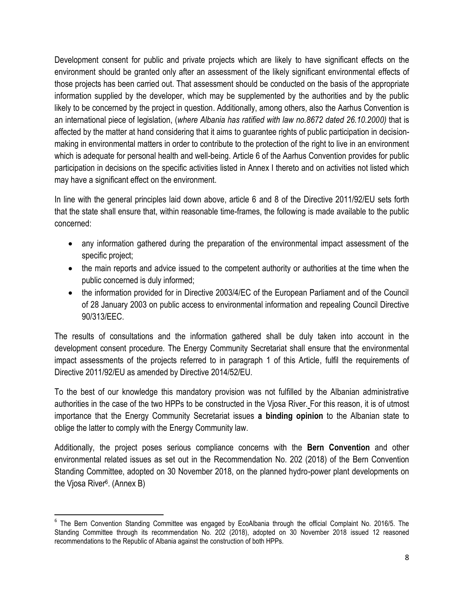Development consent for public and private projects which are likely to have significant effects on the environment should be granted only after an assessment of the likely significant environmental effects of those projects has been carried out. That assessment should be conducted on the basis of the appropriate information supplied by the developer, which may be supplemented by the authorities and by the public likely to be concerned by the project in question. Additionally, among others, also the Aarhus Convention is an international piece of legislation, (*where Albania has ratified with law no.8672 dated 26.10.2000)* that is affected by the matter at hand considering that it aims to guarantee rights of public participation in decisionmaking in environmental matters in order to contribute to the protection of the right to live in an environment which is adequate for personal health and well-being. Article 6 of the Aarhus Convention provides for public participation in decisions on the specific activities listed in Annex I thereto and on activities not listed which may have a significant effect on the environment.

In line with the general principles laid down above, article 6 and 8 of the Directive 2011/92/EU sets forth that the state shall ensure that, within reasonable time-frames, the following is made available to the public concerned:

- any information gathered during the preparation of the environmental impact assessment of the specific project;
- the main reports and advice issued to the competent authority or authorities at the time when the public concerned is duly informed;
- the information provided for in Directive 2003/4/EC of the European Parliament and of the Council of 28 January 2003 on public access to environmental information and repealing Council Directive 90/313/EEC.

The results of consultations and the information gathered shall be duly taken into account in the development consent procedure. The Energy Community Secretariat shall ensure that the environmental impact assessments of the projects referred to in paragraph 1 of this Article, fulfil the requirements of Directive 2011/92/EU as amended by Directive 2014/52/EU.

To the best of our knowledge this mandatory provision was not fulfilled by the Albanian administrative authorities in the case of the two HPPs to be constructed in the Vjosa River. For this reason, it is of utmost importance that the Energy Community Secretariat issues **a binding opinion** to the Albanian state to oblige the latter to comply with the Energy Community law.

Additionally, the project poses serious compliance concerns with the **Bern Convention** and other environmental related issues as set out in the Recommendation No. 202 (2018) of the Bern Convention Standing Committee, adopted on 30 November 2018, on the planned hydro-power plant developments on the Vjosa River<sup>6</sup>. (Annex B)

 $\overline{\phantom{a}}$ <sup>6</sup> The Bern Convention Standing Committee was engaged by EcoAlbania through the official Complaint No. 2016/5. The Standing Committee through its recommendation No. 202 (2018), adopted on 30 November 2018 issued 12 reasoned recommendations to the Republic of Albania against the construction of both HPPs.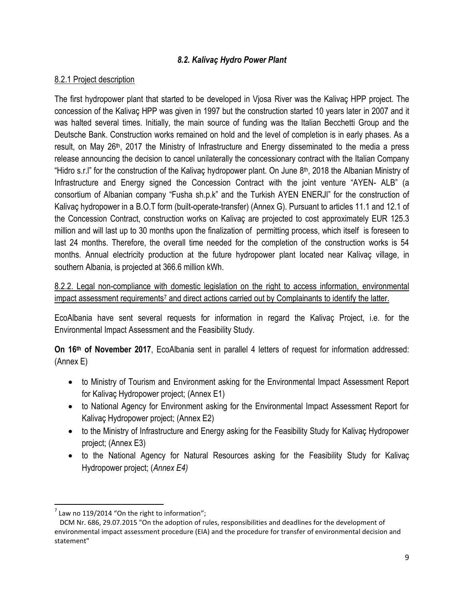#### *8.2. Kalivaç Hydro Power Plant*

#### 8.2.1 Project description

The first hydropower plant that started to be developed in Vjosa River was the Kalivaç HPP project. The concession of the Kalivaç HPP was given in 1997 but the construction started 10 years later in 2007 and it was halted several times. Initially, the main source of funding was the Italian Becchetti Group and the Deutsche Bank. Construction works remained on hold and the level of completion is in early phases. As a result, on May 26<sup>th</sup>, 2017 the Ministry of Infrastructure and Energy disseminated to the media a press release announcing the decision to cancel unilaterally the concessionary contract with the Italian Company "Hidro s.r.l" for the construction of the Kalivaç hydropower plant. On June 8<sup>th</sup>, 2018 the Albanian Ministry of Infrastructure and Energy signed the Concession Contract with the joint venture "AYEN- ALB" (a consortium of Albanian company "Fusha sh.p.k" and the Turkish AYEN ENERJI" for the construction of Kalivaç hydropower in a B.O.T form (built-operate-transfer) (Annex G). Pursuant to articles 11.1 and 12.1 of the Concession Contract, construction works on Kalivaç are projected to cost approximately EUR 125.3 million and will last up to 30 months upon the finalization of permitting process, which itself is foreseen to last 24 months. Therefore, the overall time needed for the completion of the construction works is 54 months. Annual electricity production at the future hydropower plant located near Kalivaç village, in southern Albania, is projected at 366.6 million kWh.

8.2.2. Legal non-compliance with domestic legislation on the right to access information, environmental impact assessment requirements<sup>7</sup> and direct actions carried out by Complainants to identify the latter.

EcoAlbania have sent several requests for information in regard the Kalivaç Project, i.e. for the Environmental Impact Assessment and the Feasibility Study.

**On 16th of November 2017**, EcoAlbania sent in parallel 4 letters of request for information addressed: (Annex E)

- to Ministry of Tourism and Environment asking for the Environmental Impact Assessment Report for Kalivaç Hydropower project; (Annex E1)
- to National Agency for Environment asking for the Environmental Impact Assessment Report for Kalivaç Hydropower project; (Annex E2)
- to the Ministry of Infrastructure and Energy asking for the Feasibility Study for Kalivac Hydropower project; (Annex E3)
- to the National Agency for Natural Resources asking for the Feasibility Study for Kalivaç Hydropower project; (*Annex E4)*

 $^7$  Law no 119/2014 "On the right to information";

DCM Nr. 686, 29.07.2015 "On the adoption of rules, responsibilities and deadlines for the development of environmental impact assessment procedure (EIA) and the procedure for transfer of environmental decision and statement"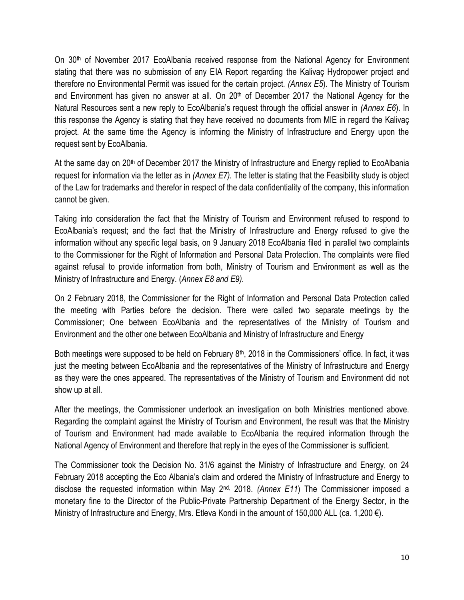On  $30<sup>th</sup>$  of November 2017 EcoAlbania received response from the National Agency for Environment stating that there was no submission of any EIA Report regarding the Kalivaç Hydropower project and therefore no Environmental Permit was issued for the certain project*. (Annex E5*). The Ministry of Tourism and Environment has given no answer at all. On 20<sup>th</sup> of December 2017 the National Agency for the Natural Resources sent a new reply to EcoAlbania's request through the official answer in *(Annex E6*). In this response the Agency is stating that they have received no documents from MIE in regard the Kalivaç project. At the same time the Agency is informing the Ministry of Infrastructure and Energy upon the request sent by EcoAlbania.

At the same day on  $20<sup>th</sup>$  of December 2017 the Ministry of Infrastructure and Energy replied to EcoAlbania request for information via the letter as in *(Annex E7).* The letter is stating that the Feasibility study is object of the Law for trademarks and therefor in respect of the data confidentiality of the company, this information cannot be given.

Taking into consideration the fact that the Ministry of Tourism and Environment refused to respond to EcoAlbania's request; and the fact that the Ministry of Infrastructure and Energy refused to give the information without any specific legal basis, on 9 January 2018 EcoAlbania filed in parallel two complaints to the Commissioner for the Right of Information and Personal Data Protection. The complaints were filed against refusal to provide information from both, Ministry of Tourism and Environment as well as the Ministry of Infrastructure and Energy. (*Annex E8 and E9).*

On 2 February 2018, the Commissioner for the Right of Information and Personal Data Protection called the meeting with Parties before the decision. There were called two separate meetings by the Commissioner; One between EcoAlbania and the representatives of the Ministry of Tourism and Environment and the other one between EcoAlbania and Ministry of Infrastructure and Energy

Both meetings were supposed to be held on February 8<sup>th</sup>, 2018 in the Commissioners' office. In fact, it was just the meeting between EcoAlbania and the representatives of the Ministry of Infrastructure and Energy as they were the ones appeared. The representatives of the Ministry of Tourism and Environment did not show up at all.

After the meetings, the Commissioner undertook an investigation on both Ministries mentioned above. Regarding the complaint against the Ministry of Tourism and Environment, the result was that the Ministry of Tourism and Environment had made available to EcoAlbania the required information through the National Agency of Environment and therefore that reply in the eyes of the Commissioner is sufficient.

The Commissioner took the Decision No. 31/6 against the Ministry of Infrastructure and Energy, on 24 February 2018 accepting the Eco Albania's claim and ordered the Ministry of Infrastructure and Energy to disclose the requested information within May 2<sup>nd,</sup> 2018. *(Annex E11*) The Commissioner imposed a monetary fine to the Director of the Public-Private Partnership Department of the Energy Sector, in the Ministry of Infrastructure and Energy, Mrs. Etleva Kondi in the amount of 150,000 ALL (ca. 1,200 €).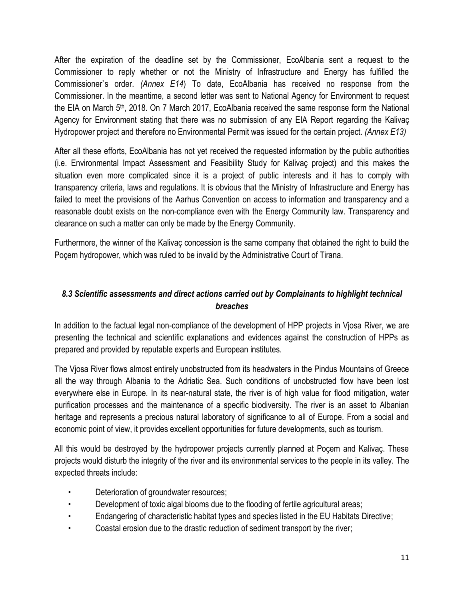After the expiration of the deadline set by the Commissioner, EcoAlbania sent a request to the Commissioner to reply whether or not the Ministry of Infrastructure and Energy has fulfilled the Commissioner`s order. *(Annex E14*) To date, EcoAlbania has received no response from the Commissioner. In the meantime, a second letter was sent to National Agency for Environment to request the EIA on March 5<sup>th</sup>, 2018. On 7 March 2017, EcoAlbania received the same response form the National Agency for Environment stating that there was no submission of any EIA Report regarding the Kalivaç Hydropower project and therefore no Environmental Permit was issued for the certain project. *(Annex E13)*

After all these efforts, EcoAlbania has not yet received the requested information by the public authorities (i.e. Environmental Impact Assessment and Feasibility Study for Kalivaç project) and this makes the situation even more complicated since it is a project of public interests and it has to comply with transparency criteria, laws and regulations. It is obvious that the Ministry of Infrastructure and Energy has failed to meet the provisions of the Aarhus Convention on access to information and transparency and a reasonable doubt exists on the non-compliance even with the Energy Community law. Transparency and clearance on such a matter can only be made by the Energy Community.

Furthermore, the winner of the Kalivaç concession is the same company that obtained the right to build the Poçem hydropower, which was ruled to be invalid by the Administrative Court of Tirana.

## *8.3 Scientific assessments and direct actions carried out by Complainants to highlight technical breaches*

In addition to the factual legal non-compliance of the development of HPP projects in Vjosa River, we are presenting the technical and scientific explanations and evidences against the construction of HPPs as prepared and provided by reputable experts and European institutes.

The Vjosa River flows almost entirely unobstructed from its headwaters in the Pindus Mountains of Greece all the way through Albania to the Adriatic Sea. Such conditions of unobstructed flow have been lost everywhere else in Europe. In its near-natural state, the river is of high value for flood mitigation, water purification processes and the maintenance of a specific biodiversity. The river is an asset to Albanian heritage and represents a precious natural laboratory of significance to all of Europe. From a social and economic point of view, it provides excellent opportunities for future developments, such as tourism.

All this would be destroyed by the hydropower projects currently planned at Poçem and Kalivaç. These projects would disturb the integrity of the river and its environmental services to the people in its valley. The expected threats include:

- Deterioration of groundwater resources;
- Development of toxic algal blooms due to the flooding of fertile agricultural areas;
- Endangering of characteristic habitat types and species listed in the EU Habitats Directive;
- Coastal erosion due to the drastic reduction of sediment transport by the river;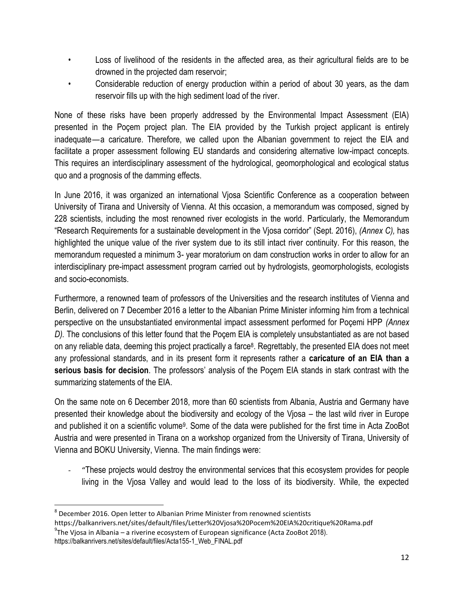- Loss of livelihood of the residents in the affected area, as their agricultural fields are to be drowned in the projected dam reservoir;
- Considerable reduction of energy production within a period of about 30 years, as the dam reservoir fills up with the high sediment load of the river.

None of these risks have been properly addressed by the Environmental Impact Assessment (EIA) presented in the Poçem project plan. The EIA provided by the Turkish project applicant is entirely inadequate—a caricature. Therefore, we called upon the Albanian government to reject the EIA and facilitate a proper assessment following EU standards and considering alternative low-impact concepts. This requires an interdisciplinary assessment of the hydrological, geomorphological and ecological status quo and a prognosis of the damming effects.

In June 2016, it was organized an international Vjosa Scientific Conference as a cooperation between University of Tirana and University of Vienna. At this occasion, a memorandum was composed, signed by 228 scientists, including the most renowned river ecologists in the world. Particularly, the Memorandum "Research Requirements for a sustainable development in the Vjosa corridor" (Sept. 2016), *(Annex C),* has highlighted the unique value of the river system due to its still intact river continuity. For this reason, the memorandum requested a minimum 3- year moratorium on dam construction works in order to allow for an interdisciplinary pre-impact assessment program carried out by hydrologists, geomorphologists, ecologists and socio-economists.

Furthermore, a renowned team of professors of the Universities and the research institutes of Vienna and Berlin, delivered on 7 December 2016 a letter to the Albanian Prime Minister informing him from a technical perspective on the unsubstantiated environmental impact assessment performed for Poçemi HPP *(Annex D).* The conclusions of this letter found that the Poçem EIA is completely unsubstantiated as are not based on any reliable data, deeming this project practically a farce<sup>8</sup>. Regrettably, the presented EIA does not meet any professional standards, and in its present form it represents rather a **caricature of an EIA than a serious basis for decision**. The professors' analysis of the Poçem EIA stands in stark contrast with the summarizing statements of the EIA.

On the same note on 6 December 2018, more than 60 scientists from Albania, Austria and Germany have presented their knowledge about the biodiversity and ecology of the Vjosa – the last wild river in Europe and published it on a scientific volume<sup>9</sup>. Some of the data were published for the first time in Acta ZooBot Austria and were presented in Tirana on a workshop organized from the University of Tirana, University of Vienna and BOKU University, Vienna. The main findings were:

- "These projects would destroy the environmental services that this ecosystem provides for people living in the Vjosa Valley and would lead to the loss of its biodiversity. While, the expected

 $^8$  December 2016. Open letter to Albanian Prime Minister from renowned scientists

https://balkanrivers.net/sites/default/files/Letter%20Vjosa%20Pocem%20EIA%20critique%20Rama.pdf

 $^{9}$ The Vjosa in Albania – a riverine ecosystem of European significance (Acta ZooBot 2018).

https://balkanrivers.net/sites/default/files/Acta155-1\_Web\_FINAL.pdf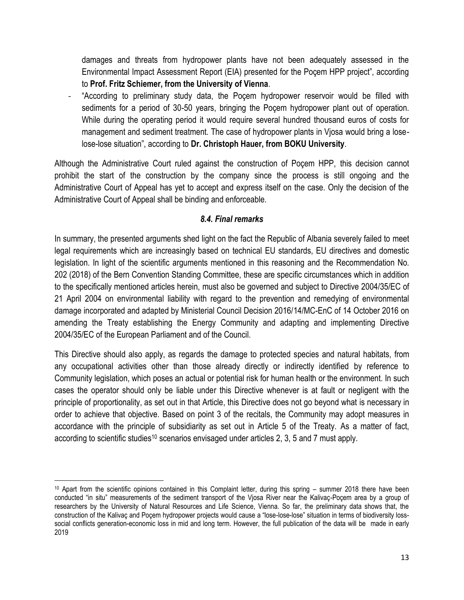damages and threats from hydropower plants have not been adequately assessed in the Environmental Impact Assessment Report (EIA) presented for the Poçem HPP project", according to **Prof. Fritz Schiemer, from the University of Vienna**.

"According to preliminary study data, the Poçem hydropower reservoir would be filled with sediments for a period of 30-50 years, bringing the Poçem hydropower plant out of operation. While during the operating period it would require several hundred thousand euros of costs for management and sediment treatment. The case of hydropower plants in Vjosa would bring a loselose-lose situation", according to **Dr. Christoph Hauer, from BOKU University**.

Although the Administrative Court ruled against the construction of Poçem HPP, this decision cannot prohibit the start of the construction by the company since the process is still ongoing and the Administrative Court of Appeal has yet to accept and express itself on the case. Only the decision of the Administrative Court of Appeal shall be binding and enforceable.

### *8.4. Final remarks*

In summary, the presented arguments shed light on the fact the Republic of Albania severely failed to meet legal requirements which are increasingly based on technical EU standards, EU directives and domestic legislation. In light of the scientific arguments mentioned in this reasoning and the Recommendation No. 202 (2018) of the Bern Convention Standing Committee, these are specific circumstances which in addition to the specifically mentioned articles herein, must also be governed and subject to Directive 2004/35/EC of 21 April 2004 on environmental liability with regard to the prevention and remedying of environmental damage incorporated and adapted by Ministerial Council Decision 2016/14/MC-EnC of 14 October 2016 on amending the Treaty establishing the Energy Community and adapting and implementing Directive 2004/35/EC of the European Parliament and of the Council.

This Directive should also apply, as regards the damage to protected species and natural habitats, from any occupational activities other than those already directly or indirectly identified by reference to Community legislation, which poses an actual or potential risk for human health or the environment. In such cases the operator should only be liable under this Directive whenever is at fault or negligent with the principle of proportionality, as set out in that Article, this Directive does not go beyond what is necessary in order to achieve that objective. Based on point 3 of the recitals, the Community may adopt measures in accordance with the principle of subsidiarity as set out in Article 5 of the Treaty. As a matter of fact, according to scientific studies<sup>10</sup> scenarios envisaged under articles 2, 3, 5 and 7 must apply.

 $10$  Apart from the scientific opinions contained in this Complaint letter, during this spring  $-$  summer 2018 there have been conducted "in situ" measurements of the sediment transport of the Vjosa River near the Kalivaç-Poçem area by a group of researchers by the University of Natural Resources and Life Science, Vienna. So far, the preliminary data shows that, the construction of the Kalivaç and Poçem hydropower projects would cause a "lose-lose-lose" situation in terms of biodiversity losssocial conflicts generation-economic loss in mid and long term. However, the full publication of the data will be made in early 2019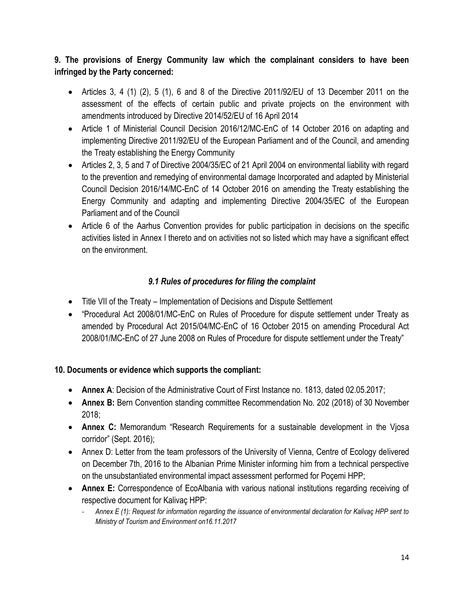# **9. The provisions of Energy Community law which the complainant considers to have been infringed by the Party concerned:**

- $\bullet$  Articles 3, 4 (1) (2), 5 (1), 6 and 8 of the Directive 2011/92/EU of 13 December 2011 on the assessment of the effects of certain public and private projects on the environment with amendments introduced by Directive 2014/52/EU of 16 April 2014
- Article 1 of Ministerial Council Decision 2016/12/MC-EnC of 14 October 2016 on adapting and implementing Directive 2011/92/EU of the European Parliament and of the Council, and amending the Treaty establishing the Energy Community
- Articles 2, 3, 5 and 7 of Directive 2004/35/EC of 21 April 2004 on environmental liability with regard to the prevention and remedying of environmental damage Incorporated and adapted by Ministerial Council Decision 2016/14/MC-EnC of 14 October 2016 on amending the Treaty establishing the Energy Community and adapting and implementing Directive 2004/35/EC of the European Parliament and of the Council
- Article 6 of the Aarhus Convention provides for public participation in decisions on the specific activities listed in Annex I thereto and on activities not so listed which may have a significant effect on the environment.

# *9.1 Rules of procedures for filing the complaint*

- Title VII of the Treaty Implementation of Decisions and Dispute Settlement
- "Procedural Act 2008/01/MC-EnC on Rules of Procedure for dispute settlement under Treaty as amended by Procedural Act 2015/04/MC-EnC of 16 October 2015 on amending Procedural Act 2008/01/MC-EnC of 27 June 2008 on Rules of Procedure for dispute settlement under the Treaty"

## **10. Documents or evidence which supports the compliant:**

- **Annex A: Decision of the Administrative Court of First Instance no. 1813, dated 02.05.2017;**
- **Annex B:** Bern Convention standing committee Recommendation No. 202 (2018) of 30 November 2018;
- **Annex C:** Memorandum "Research Requirements for a sustainable development in the Vjosa corridor" (Sept. 2016);
- Annex D: Letter from the team professors of the University of Vienna, Centre of Ecology delivered on December 7th, 2016 to the Albanian Prime Minister informing him from a technical perspective on the unsubstantiated environmental impact assessment performed for Poçemi HPP;
- **Annex E:** Correspondence of EcoAlbania with various national institutions regarding receiving of respective document for Kalivaç HPP:
	- *Annex E (1): Request for information regarding the issuance of environmental declaration for Kalivaç HPP sent to Ministry of Tourism and Environment on16.11.2017*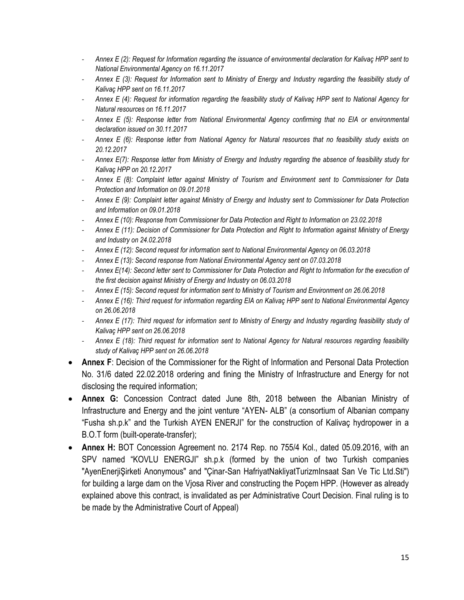- *Annex E (2): Request for Information regarding the issuance of environmental declaration for Kalivaç HPP sent to National Environmental Agency on 16.11.2017*
- *Annex E (3): Request for Information sent to Ministry of Energy and Industry regarding the feasibility study of Kalivaç HPP sent on 16.11.2017*
- *Annex E (4): Request for information regarding the feasibility study of Kalivaç HPP sent to National Agency for Natural resources on 16.11.2017*
- *Annex E (5): Response letter from National Environmental Agency confirming that no EIA or environmental declaration issued on 30.11.2017*
- *Annex E (6): Response letter from National Agency for Natural resources that no feasibility study exists on 20.12.2017*
- *Annex E(7): Response letter from Ministry of Energy and Industry regarding the absence of feasibility study for Kalivaç HPP on 20.12.2017*
- *Annex E (8): Complaint letter against Ministry of Tourism and Environment sent to Commissioner for Data Protection and Information on 09.01.2018*
- *Annex E (9): Complaint letter against Ministry of Energy and Industry sent to Commissioner for Data Protection and Information on 09.01.2018*
- *Annex E (10): Response from Commissioner for Data Protection and Right to Information on 23.02.2018*
- *Annex E (11): Decision of Commissioner for Data Protection and Right to Information against Ministry of Energy and Industry on 24.02.2018*
- *Annex E (12): Second request for information sent to National Environmental Agency on 06.03.2018*
- *Annex E (13): Second response from National Environmental Agency sent on 07.03.2018*
- *Annex E(14): Second letter sent to Commissioner for Data Protection and Right to Information for the execution of the first decision against Ministry of Energy and Industry on 06.03.2018*
- *Annex E (15): Second request for information sent to Ministry of Tourism and Environment on 26.06.2018*
- *Annex E (16): Third request for information regarding EIA on Kalivaç HPP sent to National Environmental Agency on 26.06.2018*
- *Annex E (17): Third request for information sent to Ministry of Energy and Industry regarding feasibility study of Kalivaç HPP sent on 26.06.2018*
- *Annex E (18): Third request for information sent to National Agency for Natural resources regarding feasibility study of Kalivaç HPP sent on 26.06.2018*
- **Annex F:** Decision of the Commissioner for the Right of Information and Personal Data Protection No. 31/6 dated 22.02.2018 ordering and fining the Ministry of Infrastructure and Energy for not disclosing the required information;
- **Annex G:** Concession Contract dated June 8th, 2018 between the Albanian Ministry of Infrastructure and Energy and the joint venture "AYEN- ALB" (a consortium of Albanian company "Fusha sh.p.k" and the Turkish AYEN ENERJI" for the construction of Kalivaç hydropower in a B.O.T form (built-operate-transfer);
- **Annex H:** BOT Concession Agreement no. 2174 Rep. no 755/4 Kol., dated 05.09.2016, with an SPV named "KOVLU ENERGJI" sh.p.k (formed by the union of two Turkish companies "AyenEnerjiŞirketi Anonymous" and "Çinar-San HafriyatNakliyatTurizmInsaat San Ve Tic Ltd.Sti") for building a large dam on the Vjosa River and constructing the Poçem HPP. (However as already explained above this contract, is invalidated as per Administrative Court Decision. Final ruling is to be made by the Administrative Court of Appeal)